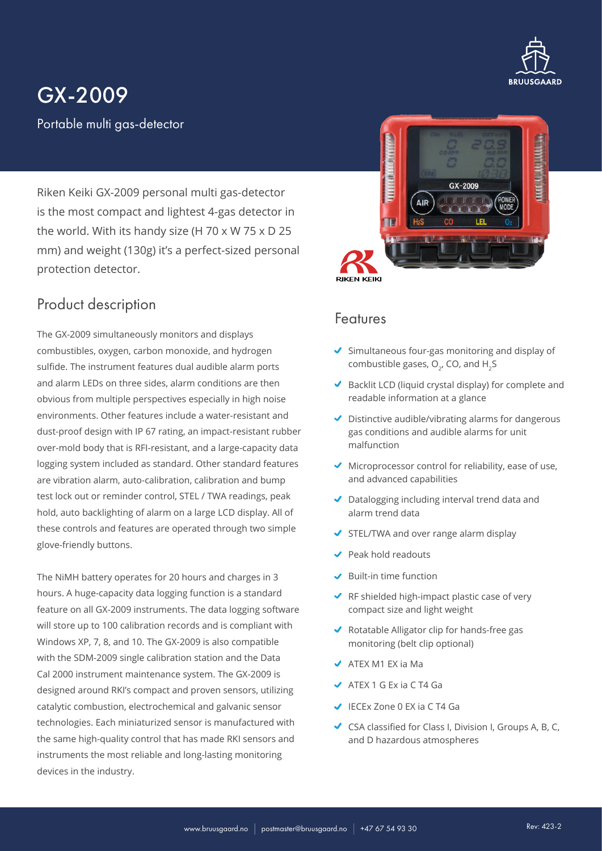

# GX-2009

Portable multi gas-detector

Riken Keiki GX-2009 personal multi gas-detector is the most compact and lightest 4-gas detector in the world. With its handy size (H 70 x W 75 x D 25 mm) and weight (130g) it's a perfect-sized personal protection detector.

### Product description

The GX-2009 simultaneously monitors and displays combustibles, oxygen, carbon monoxide, and hydrogen sulfide. The instrument features dual audible alarm ports and alarm LEDs on three sides, alarm conditions are then obvious from multiple perspectives especially in high noise environments. Other features include a water-resistant and dust-proof design with IP 67 rating, an impact-resistant rubber over-mold body that is RFI-resistant, and a large-capacity data logging system included as standard. Other standard features are vibration alarm, auto-calibration, calibration and bump test lock out or reminder control, STEL / TWA readings, peak hold, auto backlighting of alarm on a large LCD display. All of these controls and features are operated through two simple glove-friendly buttons.

The NiMH battery operates for 20 hours and charges in 3 hours. A huge-capacity data logging function is a standard feature on all GX-2009 instruments. The data logging software will store up to 100 calibration records and is compliant with Windows XP, 7, 8, and 10. The GX-2009 is also compatible with the SDM-2009 single calibration station and the Data Cal 2000 instrument maintenance system. The GX-2009 is designed around RKI's compact and proven sensors, utilizing catalytic combustion, electrochemical and galvanic sensor technologies. Each miniaturized sensor is manufactured with the same high-quality control that has made RKI sensors and instruments the most reliable and long-lasting monitoring devices in the industry.



#### Features

- $\blacktriangleright$  Simultaneous four-gas monitoring and display of combustible gases,  $O<sub>2</sub>$ , CO, and H<sub>2</sub>S
- Backlit LCD (liquid crystal display) for complete and readable information at a glance
- $\triangledown$  Distinctive audible/vibrating alarms for dangerous gas conditions and audible alarms for unit malfunction
- $\blacktriangleright$  Microprocessor control for reliability, ease of use, and advanced capabilities
- Datalogging including interval trend data and alarm trend data
- STEL/TWA and over range alarm display
- Peak hold readouts
- $\blacktriangleright$  Built-in time function
- ◆ RF shielded high-impact plastic case of very compact size and light weight
- ◆ Rotatable Alligator clip for hands-free gas monitoring (belt clip optional)
- $\blacktriangleright$  ATEX M1 EX ia Ma
- $\triangleleft$  ATEX 1 G Ex ia C T4 Ga
- IECEx Zone 0 EX ia C T4 Ga
- CSA classified for Class I, Division I, Groups A, B, C, and D hazardous atmospheres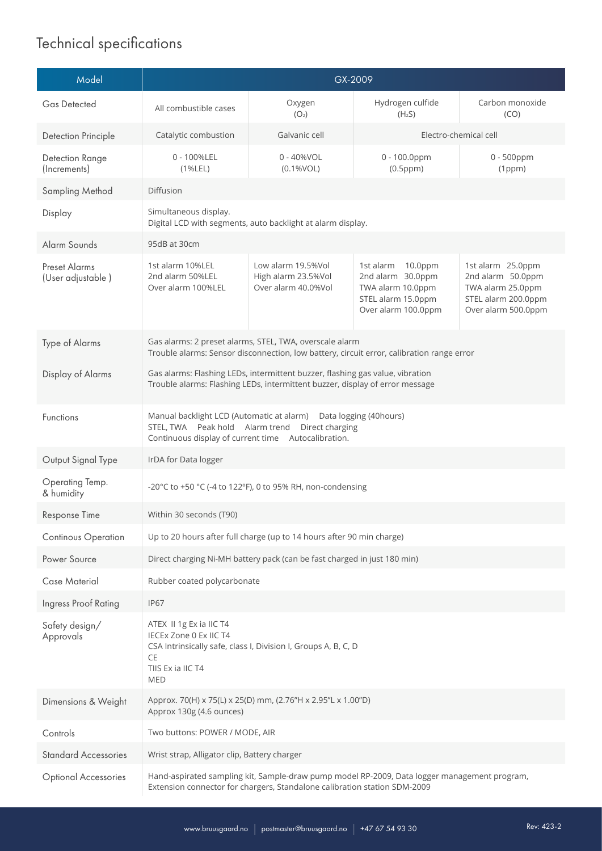## Technical specifications

| Model                                     | GX-2009                                                                                                                                                                    |                                                                  |                                                                                                                |                                                                                                           |
|-------------------------------------------|----------------------------------------------------------------------------------------------------------------------------------------------------------------------------|------------------------------------------------------------------|----------------------------------------------------------------------------------------------------------------|-----------------------------------------------------------------------------------------------------------|
| <b>Gas Detected</b>                       | All combustible cases                                                                                                                                                      | Oxygen<br>(O <sub>2</sub> )                                      | Hydrogen culfide<br>(H <sub>2</sub> S)                                                                         | Carbon monoxide<br>(CO)                                                                                   |
| Detection Principle                       | Catalytic combustion                                                                                                                                                       | Galvanic cell                                                    | Electro-chemical cell                                                                                          |                                                                                                           |
| Detection Range<br>(Increments)           | 0 - 100%LEL<br>(1%LEL)                                                                                                                                                     | 0 - 40%VOL<br>(0.1%VOL)                                          | 0 - 100.0ppm<br>$(0.5$ ppm $)$                                                                                 | 0 - 500ppm<br>(1ppm)                                                                                      |
| Sampling Method                           | <b>Diffusion</b>                                                                                                                                                           |                                                                  |                                                                                                                |                                                                                                           |
| Display                                   | Simultaneous display.<br>Digital LCD with segments, auto backlight at alarm display.                                                                                       |                                                                  |                                                                                                                |                                                                                                           |
| Alarm Sounds                              | 95dB at 30cm                                                                                                                                                               |                                                                  |                                                                                                                |                                                                                                           |
| <b>Preset Alarms</b><br>(User adjustable) | 1st alarm 10%LEL<br>2nd alarm 50%LEL<br>Over alarm 100%LEL                                                                                                                 | Low alarm 19.5%Vol<br>High alarm 23.5%Vol<br>Over alarm 40.0%Vol | 1st alarm<br>$10.0$ ppm<br>2nd alarm 30.0ppm<br>TWA alarm 10.0ppm<br>STEL alarm 15.0ppm<br>Over alarm 100.0ppm | 1st alarm 25.0ppm<br>2nd alarm 50.0ppm<br>TWA alarm 25.0ppm<br>STEL alarm 200.0ppm<br>Over alarm 500.0ppm |
| Type of Alarms                            | Gas alarms: 2 preset alarms, STEL, TWA, overscale alarm<br>Trouble alarms: Sensor disconnection, low battery, circuit error, calibration range error                       |                                                                  |                                                                                                                |                                                                                                           |
| Display of Alarms                         | Gas alarms: Flashing LEDs, intermittent buzzer, flashing gas value, vibration<br>Trouble alarms: Flashing LEDs, intermittent buzzer, display of error message              |                                                                  |                                                                                                                |                                                                                                           |
| Functions                                 | Manual backlight LCD (Automatic at alarm) Data logging (40hours)<br>STEL, TWA Peak hold Alarm trend Direct charging<br>Continuous display of current time Autocalibration. |                                                                  |                                                                                                                |                                                                                                           |
| Output Signal Type                        | IrDA for Data logger                                                                                                                                                       |                                                                  |                                                                                                                |                                                                                                           |
| Operating Temp.<br>& humidity             | -20°C to +50 °C (-4 to 122°F), 0 to 95% RH, non-condensing                                                                                                                 |                                                                  |                                                                                                                |                                                                                                           |
| Response Time                             | Within 30 seconds (T90)                                                                                                                                                    |                                                                  |                                                                                                                |                                                                                                           |
| Continous Operation                       | Up to 20 hours after full charge (up to 14 hours after 90 min charge)                                                                                                      |                                                                  |                                                                                                                |                                                                                                           |
| Power Source                              | Direct charging Ni-MH battery pack (can be fast charged in just 180 min)                                                                                                   |                                                                  |                                                                                                                |                                                                                                           |
| Case Material                             | Rubber coated polycarbonate                                                                                                                                                |                                                                  |                                                                                                                |                                                                                                           |
| Ingress Proof Rating                      | <b>IP67</b>                                                                                                                                                                |                                                                  |                                                                                                                |                                                                                                           |
| Safety design/<br>Approvals               | ATEX II 1g Ex ia IIC T4<br>IECEx Zone 0 Ex IIC T4<br>CSA Intrinsically safe, class I, Division I, Groups A, B, C, D<br>CE<br>TIIS Ex ia IIC T4<br><b>MED</b>               |                                                                  |                                                                                                                |                                                                                                           |
| Dimensions & Weight                       | Approx. 70(H) x 75(L) x 25(D) mm, (2.76"H x 2.95"L x 1.00"D)<br>Approx 130g (4.6 ounces)                                                                                   |                                                                  |                                                                                                                |                                                                                                           |
| Controls                                  | Two buttons: POWER / MODE, AIR                                                                                                                                             |                                                                  |                                                                                                                |                                                                                                           |
| <b>Standard Accessories</b>               | Wrist strap, Alligator clip, Battery charger                                                                                                                               |                                                                  |                                                                                                                |                                                                                                           |
| <b>Optional Accessories</b>               | Hand-aspirated sampling kit, Sample-draw pump model RP-2009, Data logger management program,<br>Extension connector for chargers, Standalone calibration station SDM-2009  |                                                                  |                                                                                                                |                                                                                                           |